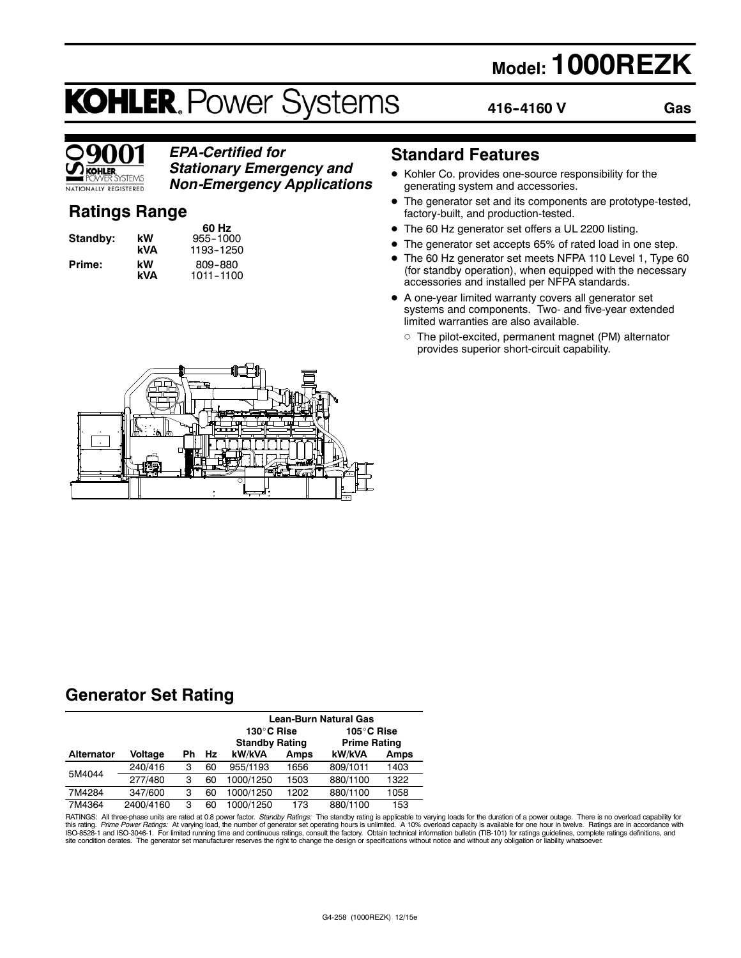## **Model: 1000REZK**

# **KOHLER. Power Systems**

**416--4160 V**

**Gas**



## *EPA-Certified for Stationary Emergency and Non-Emergency Applications*

## **Ratings Range**

| Standby: | k١<br>k١ |
|----------|----------|
| Prime:   | k١       |

**60 Hz W** 955-1000<br>**VA** 1193-1250 **kVA** 1193--1250 **kW** 809-880<br>**kVA** 1011-1100 **kVA** 1011--1100

## **Standard Features**

- $\bullet$  Kohler Co. provides one-source responsibility for the generating system and accessories.
- The generator set and its components are prototype-tested, factory-built, and production-tested.
- The 60 Hz generator set offers a UL 2200 listing.
- The generator set accepts 65% of rated load in one step.
- The 60 Hz generator set meets NFPA 110 Level 1, Type 60 (for standby operation), when equipped with the necessary accessories and installed per NFPA standards.
- A one-year limited warranty covers all generator set systems and components. Two- and five-year extended limited warranties are also available.
	- $\circ$  The pilot-excited, permanent magnet (PM) alternator provides superior short-circuit capability.



## **Generator Set Rating**

|                   |           |    |    | Lean-Burn Natural Gas                                                    |      |          |      |
|-------------------|-----------|----|----|--------------------------------------------------------------------------|------|----------|------|
|                   |           |    |    | 130°C Rise<br>105°C Rise<br><b>Standby Rating</b><br><b>Prime Rating</b> |      |          |      |
| <b>Alternator</b> | Voltage   | Ph | Hz | kW/kVA                                                                   | Amps | kW/kVA   | Amps |
| 5M4044            | 240/416   | 3  | 60 | 955/1193                                                                 | 1656 | 809/1011 | 1403 |
|                   | 277/480   | 3  | 60 | 1000/1250                                                                | 1503 | 880/1100 | 1322 |
| 7M4284            | 347/600   | 3  | 60 | 1000/1250                                                                | 1202 | 880/1100 | 1058 |
| 7M4364            | 2400/4160 | 3  | 60 | 000/1250                                                                 | 173  | 880/1100 | 153  |

RATINGS: All three-phase units are rated at 0.8 power factor. *Standby Ratings*: The standby rating is applicable to varying loads for the duration of a power outage. There is no overload capability for for the duration of site condition derates. The generator set manufacturer reserves the right to change the design or specifications without notice and without any obligation or liability whatsoever.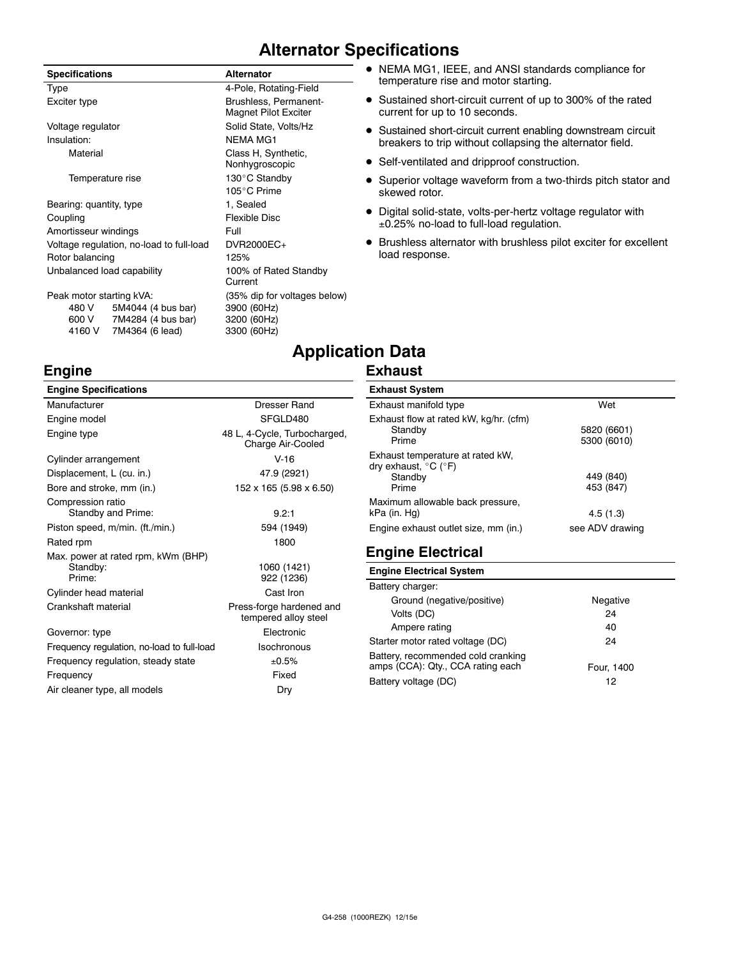## **Alternator Specifications**

| <b>Specifications</b>      |                                          | <b>Alternator</b>                                    |
|----------------------------|------------------------------------------|------------------------------------------------------|
| Type                       |                                          | 4-Pole, Rotating-Field                               |
| Exciter type               |                                          | Brushless, Permanent-<br><b>Magnet Pilot Exciter</b> |
| Voltage regulator          |                                          | Solid State, Volts/Hz                                |
| Insulation:                |                                          | NFMA MG1                                             |
| Material                   |                                          | Class H, Synthetic,<br>Nonhygroscopic                |
| Temperature rise           |                                          | 130°C Standby                                        |
|                            |                                          | 105°C Prime                                          |
| Bearing: quantity, type    |                                          | 1, Sealed                                            |
| Coupling                   |                                          | Flexible Disc                                        |
| Amortisseur windings       |                                          | Full                                                 |
|                            | Voltage regulation, no-load to full-load | DVR2000EC+                                           |
| Rotor balancing            |                                          | 125%                                                 |
| Unbalanced load capability |                                          | 100% of Rated Standby<br>Current                     |
| Peak motor starting kVA:   |                                          | (35% dip for voltages below)                         |
| 480 V                      | 5M4044 (4 bus bar)                       | 3900 (60Hz)                                          |
|                            | 600 V 7M4284 (4 bus bar)                 | 3200 (60Hz)                                          |
| 4160 V                     | 7M4364 (6 lead)                          | 3300 (60Hz)                                          |
|                            |                                          |                                                      |

**Engine**

## temperature rise and motor starting. • Sustained short-circuit current of up to 300% of the rated

• NEMA MG1, IEEE, and ANSI standards compliance for

- current for up to 10 seconds. • Sustained short-circuit current enabling downstream circuit breakers to trip without collapsing the alternator field.
- Self-ventilated and dripproof construction.
- Superior voltage waveform from a two-thirds pitch stator and skewed rotor.
- $\bullet$  Digital solid-state, volts-per-hertz voltage regulator with 0.25% no-load to full-load regulation.
- $\bullet$  Brushless alternator with brushless pilot exciter for excellent load response.

## **Application Data**

## **Exhaust**

| <b>Engine Specifications</b>                             |                                                   | <b>Exha</b>          |
|----------------------------------------------------------|---------------------------------------------------|----------------------|
| Manufacturer                                             | Dresser Rand                                      | Exha                 |
| Engine model                                             | SFGLD480                                          | Exha                 |
| Engine type                                              | 48 L, 4-Cycle, Turbocharged,<br>Charge Air-Cooled |                      |
| Cylinder arrangement                                     | $V-16$                                            | Exha                 |
| Displacement, L (cu. in.)                                | 47.9 (2921)                                       | dry e:               |
| Bore and stroke, mm (in.)                                | 152 x 165 (5.98 x 6.50)                           |                      |
| Compression ratio<br>Standby and Prime:                  | 9.2:1                                             | Maxir<br>kPa (       |
| Piston speed, m/min. (ft./min.)                          | 594 (1949)                                        | Engir                |
| Rated rpm                                                | 1800                                              |                      |
| Max. power at rated rpm, kWm (BHP)<br>Standby:<br>Prime: | 1060 (1421)<br>922 (1236)                         | Eng<br>Engi          |
| Cylinder head material                                   | Cast Iron                                         | <b>Batte</b>         |
| Crankshaft material                                      | Press-forge hardened and<br>tempered alloy steel  |                      |
| Governor: type                                           | Electronic                                        |                      |
| Frequency regulation, no-load to full-load               | Isochronous                                       | Starte               |
| Frequency regulation, steady state                       | ±0.5%                                             | <b>Batte</b><br>amps |
| Frequency                                                | Fixed                                             | Batte                |
| Air cleaner type, all models                             | Dry                                               |                      |

## **Exhaust System**

| Exhaust manifold type                                                                    | Wet                        |
|------------------------------------------------------------------------------------------|----------------------------|
| Exhaust flow at rated kW, kg/hr. (cfm)<br>Standby<br>Prime                               | 5820 (6601)<br>5300 (6010) |
| Exhaust temperature at rated kW,<br>dry exhaust, $^{\circ}$ C ( $^{\circ}$ F)<br>Standby | 449 (840)                  |
| Prime                                                                                    | 453 (847)                  |
| Maximum allowable back pressure,<br>kPa (in. Hg)                                         | 4.5(1.3)                   |
| Engine exhaust outlet size, mm (in.)                                                     | see ADV drawing            |

## **Engine Electrical**

#### **Engine Electrical System**

| Battery charger:                                                        |            |
|-------------------------------------------------------------------------|------------|
| Ground (negative/positive)                                              | Negative   |
| Volts (DC)                                                              | 24         |
| Ampere rating                                                           | 40         |
| Starter motor rated voltage (DC)                                        | 24         |
| Battery, recommended cold cranking<br>amps (CCA): Qty., CCA rating each | Four, 1400 |
| Battery voltage (DC)                                                    | 12         |
|                                                                         |            |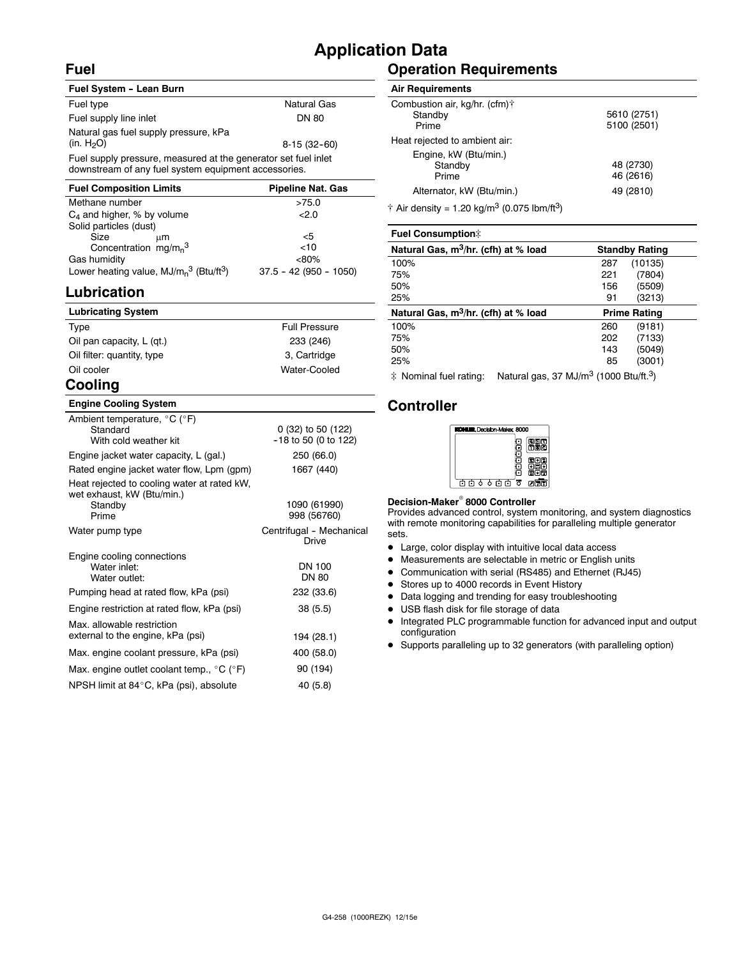## **Fuel**

## **Application Data**

### **Fuel System - Lean Burn** Fuel type Natural Gas Fuel supply line inlet DN 80 Natural gas fuel supply pressure, kPa  $(n. H<sub>2</sub>O)$  8-15 (32-60) Fuel supply pressure, measured at the generator set fuel inlet downstream of any fuel system equipment accessories.

| <b>Pipeline Nat. Gas</b> |
|--------------------------|
| >75.0                    |
| 2.0                      |
|                          |
| <5                       |
| <10                      |
| $< 80\%$                 |
| $37.5 - 42 (950 - 1050)$ |
|                          |

## **Lubrication**

| <b>Lubricating System</b>                  |                      |
|--------------------------------------------|----------------------|
| Type                                       | <b>Full Pressure</b> |
| Oil pan capacity, L (gt.)                  | 233 (246)            |
| Oil filter: quantity, type                 | 3, Cartridge         |
| Oil cooler                                 | Water-Cooled         |
| $\mathbf{A}$ - $\mathbf{B}$ - $\mathbf{A}$ |                      |

## **Cooling**

### **Engine Cooling System**

| Ambient temperature, $^{\circ}$ C ( $^{\circ}$ F)<br>Standard<br>With cold weather kit        | 0 (32) to 50 (122)<br>-18 to 50 (0 to 122) |
|-----------------------------------------------------------------------------------------------|--------------------------------------------|
| Engine jacket water capacity, L (gal.)                                                        | 250 (66.0)                                 |
| Rated engine jacket water flow, Lpm (gpm)                                                     | 1667 (440)                                 |
| Heat rejected to cooling water at rated kW,<br>wet exhaust, kW (Btu/min.)<br>Standby<br>Prime | 1090 (61990)<br>998 (56760)                |
| Water pump type                                                                               | Centrifugal - Mechanical<br>Drive          |
| Engine cooling connections<br>Water inlet:<br>Water outlet:                                   | DN 100<br>DN 80                            |
| Pumping head at rated flow, kPa (psi)                                                         | 232 (33.6)                                 |
| Engine restriction at rated flow, kPa (psi)                                                   | 38(5.5)                                    |
| Max. allowable restriction<br>external to the engine, kPa (psi)                               | 194 (28.1)                                 |
| Max. engine coolant pressure, kPa (psi)                                                       | 400 (58.0)                                 |
| Max. engine outlet coolant temp., $^{\circ}$ C ( $^{\circ}$ F)                                | 90 (194)                                   |
| NPSH limit at 84°C, kPa (psi), absolute                                                       | 40 (5.8)                                   |

## **Operation Requirements**

#### **Air Requirements**

| Combustion air, kg/hr. (cfm)† |             |
|-------------------------------|-------------|
| Standby                       | 5610 (2751) |
| Prime                         | 5100 (2501) |
| Heat rejected to ambient air: |             |
| Engine, kW (Btu/min.)         |             |
| Standby                       | 48 (2730)   |
| Prime                         | 46 (2616)   |
| Alternator, kW (Btu/min.)     | 49 (2810)   |
|                               |             |

 $\dagger$  Air density = 1.20 kg/m<sup>3</sup> (0.075 lbm/ft<sup>3</sup>)

| <b>Fuel Consumption:</b>                         |     |                       |
|--------------------------------------------------|-----|-----------------------|
| Natural Gas, m <sup>3</sup> /hr. (cfh) at % load |     | <b>Standby Rating</b> |
| 100%                                             | 287 | (10135)               |
| 75%                                              | 221 | (7804)                |
| 50%                                              | 156 | (5509)                |
| 25%                                              | 91  | (3213)                |
| Natural Gas, m <sup>3</sup> /hr. (cfh) at % load |     | <b>Prime Rating</b>   |
| 100%                                             | 260 | (9181)                |
|                                                  |     |                       |
| 75%                                              | 202 | (7133)                |
| 50%                                              | 143 | (5049)                |
| 25%                                              | 85  | (3001)                |

 $\ddot{\text{*}}$  Nominal fuel rating: Natural gas, 37 MJ/m<sup>3</sup> (1000 Btu/ft.<sup>3</sup>)

## **Controller**



#### **Decision-Maker<sup>®</sup> 8000 Controller**

Provides advanced control, system monitoring, and system diagnostics with remote monitoring capabilities for paralleling multiple generator sets.

- Large, color display with intuitive local data access
- $\bullet$  Measurements are selectable in metric or English units
- Communication with serial (RS485) and Ethernet (RJ45)
- Stores up to 4000 records in Event History
- Data logging and trending for easy troubleshooting
- USB flash disk for file storage of data
- $\bullet$  Integrated PLC programmable function for advanced input and output configuration
- D Supports paralleling up to 32 generators (with paralleling option)